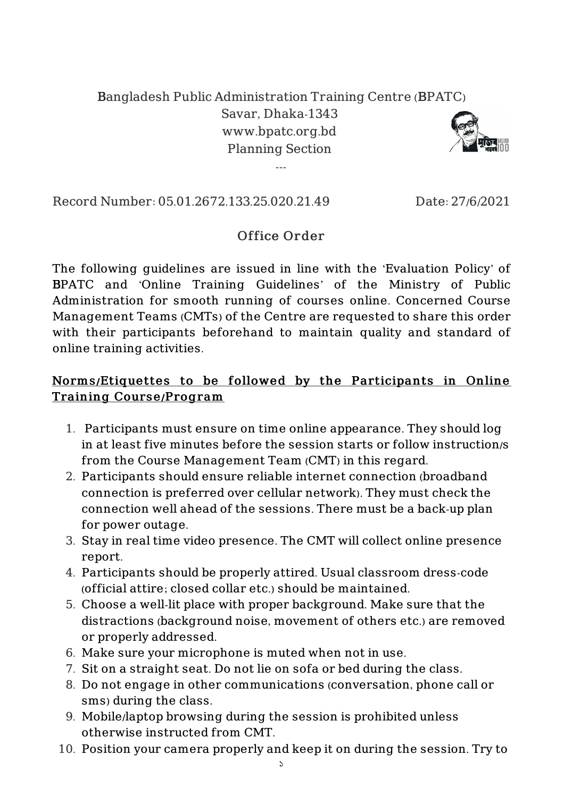## Bangladesh Public Administration Training Centre (BPATC)

Savar, Dhaka-1343 www.bpatc.org.bd Planning Section

---



Record Number: 05.01.2672.133.25.020.21.49 Date: 27/6/2021

## Office Order

The following guidelines are issued in line with the 'Evaluation Policy' of BPATC and 'Online Training Guidelines' of the Ministry of Public Administration for smooth running of courses online. Concerned Course Management Teams (CMTs) of the Centre are requested to share this order with their participants beforehand to maintain quality and standard of online training activities.

## Norms /Etiquettes to be followed by the Participants in Online Training Course/Program

- 1. Participants must ensure on time online appearance. They should log in at least five minutes before the session starts or follow instruction/s from the Course Management Team (CMT) in this regard.
- 2. Participants should ensure reliable internet connection (broadband connection is preferred over cellular network). They must check the connection well ahead of the sessions. There must be a back-up plan for power outage.
- 3. Stay in real time video presence. The CMT will collect online presence report.
- 4. Participants should be properly attired. Usual classroom dress-code (official attire; closed collar etc.) should be maintained.
- 5. Choose a well-lit place with proper background. Make sure that the distractions (background noise, movement of others etc.) are removed or properly addressed.
- 6. Make sure your microphone is muted when not in use.
- 7. Sit on a straight seat. Do not lie on sofa or bed during the class.
- 8. Do not engage in other communications (conversation, phone call or sms) during the class.
- 9. Mobile/laptop browsing during the session is prohibited unless otherwise instructed from CMT.
- 10. Position your camera properly and keep it on during the session. Try to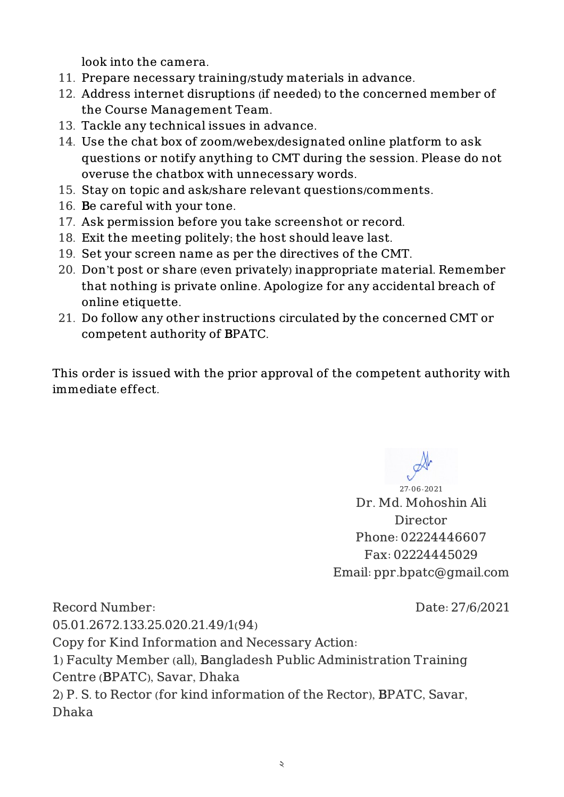look into the camera.

- 11. Prepare necessary training/study materials in advance.
- 12. Address internet disruptions (if needed) to the concerned member of the Course Management Team.
- 13. Tackle any technical issues in advance.
- 14. Use the chat box of zoom/webex/designated online platform to ask questions or notify anything to CMT during the session. Please do not overuse the chatbox with unnecessary words.
- 15. Stay on topic and ask/share relevant questions/comments.
- 16. Be careful with your tone.
- 17. Ask permission before you take screenshot or record.
- 18. Exit the meeting politely; the host should leave last.
- 19. Set your screen name as per the directives of the CMT.
- 20. Don't post or share (even privately) inappropriate material. Remember that nothing is private online. Apologize for any accidental breach of online etiquette.
- 21. Do follow any other instructions circulated by the concerned CMT or competent authority of BPATC.

This order is issued with the prior approval of the competent authority with immediate effect.

27-06-2021 Dr. Md. Mohoshin Ali Director Phone: 02224446607 Fax: 02224445029 Email: ppr.bpatc@gmail.com

Record Number: 05.01.2672.133.25.020.21.49/1(94) Date: 27/6/2021 Copy for Kind Information and Necessary Action: 1) Faculty Member (all), Bangladesh Public Administration Training Centre (BPATC), Savar, Dhaka 2) P. S. to Rector (for kind information of the Rector), BPATC, Savar, Dhaka